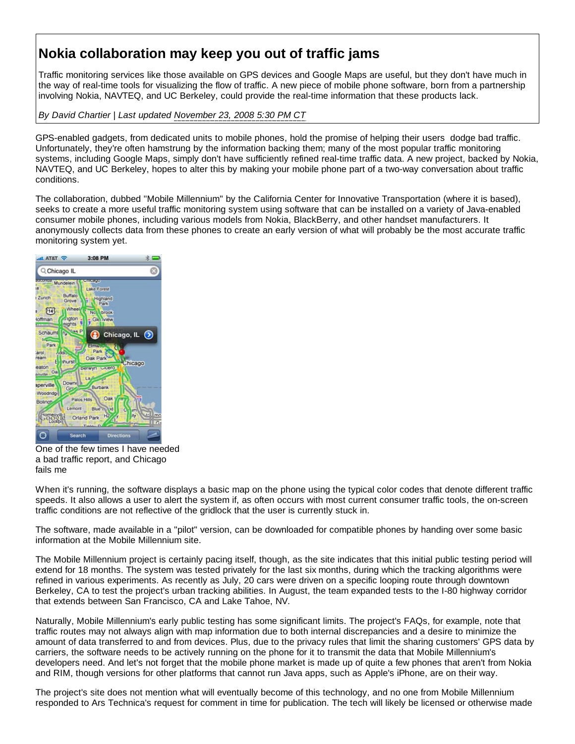## **Nokia collaboration may keep you out of traffic jams**

Traffic monitoring services like those available on GPS devices and Google Maps are useful, but they don't have much in the way of real-time tools for visualizing the flow of traffic. A new piece of mobile phone software, born from a partnership involving Nokia, NAVTEQ, and UC Berkeley, could provide the real-time information that these products lack.

*By David Chartier | Last updated November 23, 2008 5:30 PM CT*

GPS-enabled gadgets, from dedicated units to mobile phones, hold the promise of helping their users dodge bad traffic. Unfortunately, they're often hamstrung by the information backing them; many of the most popular traffic monitoring systems, including Google Maps, simply don't have sufficiently refined real-time traffic data. A new project, backed by Nokia, NAVTEQ, and UC Berkeley, hopes to alter this by making your mobile phone part of a two-way conversation about traffic conditions.

The collaboration, dubbed "Mobile Millennium" by the California Center for Innovative Transportation (where it is based), seeks to create a more useful traffic monitoring system using software that can be installed on a variety of Java-enabled consumer mobile phones, including various models from Nokia, BlackBerry, and other handset manufacturers. It anonymously collects data from these phones to create an early version of what will probably be the most accurate traffic monitoring system yet.



One of the few times I have needed a bad traffic report, and Chicago fails me

When it's running, the software displays a basic map on the phone using the typical color codes that denote different traffic speeds. It also allows a user to alert the system if, as often occurs with most current consumer traffic tools, the on-screen traffic conditions are not reflective of the gridlock that the user is currently stuck in.

The software, made available in a "pilot" version, can be downloaded for compatible phones by handing over some basic information at the Mobile Millennium site.

The Mobile Millennium project is certainly pacing itself, though, as the site indicates that this initial public testing period will extend for 18 months. The system was tested privately for the last six months, during which the tracking algorithms were refined in various experiments. As recently as July, 20 cars were driven on a specific looping route through downtown Berkeley, CA to test the project's urban tracking abilities. In August, the team expanded tests to the I-80 highway corridor that extends between San Francisco, CA and Lake Tahoe, NV.

Naturally, Mobile Millennium's early public testing has some significant limits. The project's FAQs, for example, note that traffic routes may not always align with map information due to both internal discrepancies and a desire to minimize the amount of data transferred to and from devices. Plus, due to the privacy rules that limit the sharing customers' GPS data by carriers, the software needs to be actively running on the phone for it to transmit the data that Mobile Millennium's developers need. And let's not forget that the mobile phone market is made up of quite a few phones that aren't from Nokia and RIM, though versions for other platforms that cannot run Java apps, such as Apple's iPhone, are on their way.

The project's site does not mention what will eventually become of this technology, and no one from Mobile Millennium responded to Ars Technica's request for comment in time for publication. The tech will likely be licensed or otherwise made